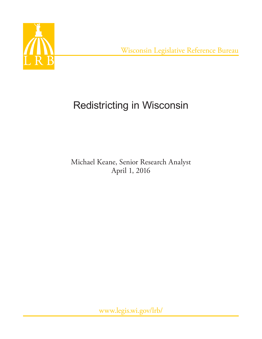

Wisconsin Legislative Reference Bureau

# Redistricting in Wisconsin

# Michael Keane, Senior Research Analyst April 1, 2016

www.legis.wi.gov/lrb/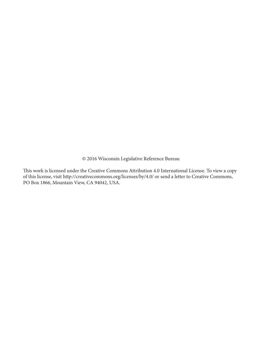© 2016 Wisconsin Legislative Reference Bureau

This work is licensed under the Creative Commons Attribution 4.0 International License. To view a copy of this license, visit http://creativecommons.org/licenses/by/4.0/ or send a letter to Creative Commons, PO Box 1866, Mountain View, CA 94042, USA.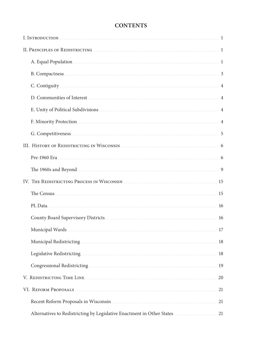| <b>CONTENTS</b> |
|-----------------|
|-----------------|

| Alternatives to Redistricting by Legislative Enactment in Other States  21 |  |
|----------------------------------------------------------------------------|--|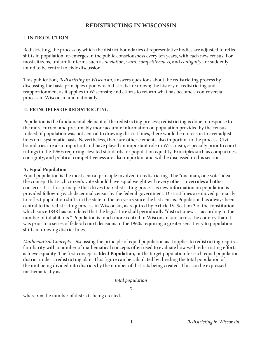# **REDISTRICTING IN WISCONSIN**

## **I. INTRODUCTION**

Redistricting, the process by which the district boundaries of representative bodies are adjusted to reflect shifts in population, re-emerges in the public consciousness every ten years, with each new census. For most citizens, unfamiliar terms such as *deviation*, *ward*, *competitiveness*, and *contiguity* are suddenly found to be central to civic discussion.

This publication, *Redistricting in Wisconsin*, answers questions about the redistricting process by discussing the basic principles upon which districts are drawn; the history of redistricting and reapportionment as it applies to Wisconsin; and efforts to reform what has become a controversial process in Wisconsin and nationally.

#### **II. PRINCIPLES OF REDISTRICTING**

Population is the fundamental element of the redistricting process; redistricting is done in response to the more current and presumably more accurate information on population provided by the census. Indeed, if population was not central to drawing district lines, there would be no reason to ever adjust lines on a systematic basis. Nevertheless, there are other elements also important to the process. Civil boundaries are also important and have played an important role in Wisconsin, especially prior to court rulings in the 1960s requiring elevated standards for population equality. Principles such as compactness, contiguity, and political competitiveness are also important and will be discussed in this section.

#### **A. Equal Population**

Equal population is the most central principle involved in redistricting. The "one man, one vote" idea the concept that each citizen's vote should have equal weight with every other—overrides all other concerns. It is this principle that drives the redistricting process as new information on population is provided following each decennial census by the federal government. District lines are moved primarily to reflect population shifts in the state in the ten years since the last census. Population has always been central to the redistricting process in Wisconsin, as required by Article IV, Section 3 of the constitution, which since 1848 has mandated that the legislature shall periodically "district anew … according to the number of inhabitants." Population is much more central in Wisconsin and across the country than it was prior to a series of federal court decisions in the 1960s requiring a greater sensitivity to population shifts in drawing district lines.

*Mathematical Concepts*. Discussing the principle of equal population as it applies to redistricting requires familiarity with a number of mathematical concepts often used to evaluate how well redistricting efforts achieve equality. The first concept is **Ideal Population**, or the target population for each equal population district under a redistricting plan. This figure can be calculated by dividing the total population of the unit being divided into districts by the number of districts being created. This can be expressed mathematically as

#### *total population*

*x*

where  $x =$  the number of districts being created.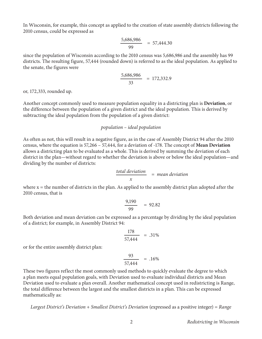In Wisconsin, for example, this concept as applied to the creation of state assembly districts following the 2010 census, could be expressed as

$$
\frac{5,686,986}{99} = 57,444.30
$$

since the population of Wisconsin according to the 2010 census was 5,686,986 and the assembly has 99 districts. The resulting figure, 57,444 (rounded down) is referred to as the ideal population. As applied to the senate, the figures were

$$
\frac{5,686,986}{33} = 172,332.9
$$

or, 172,333, rounded up.

Another concept commonly used to measure population equality in a districting plan is **Deviation**, or the difference between the population of a given district and the ideal population. This is derived by subtracting the ideal population from the population of a given district:

#### *population – ideal population*

As often as not, this will result in a negative figure, as in the case of Assembly District 94 after the 2010 census, where the equation is 57,266 – 57,444, for a deviation of -178. The concept of **Mean Deviation** allows a districting plan to be evaluated as a whole. This is derived by summing the deviation of each district in the plan—without regard to whether the deviation is above or below the ideal population—and dividing by the number of districts:

$$
\frac{\text{total deviation}}{x} = \text{mean deviation}
$$

where  $x =$  the number of districts in the plan. As applied to the assembly district plan adopted after the 2010 census, that is

$$
\frac{9,190}{99} = 92.82
$$

Both deviation and mean deviation can be expressed as a percentage by dividing by the ideal population of a district; for example, in Assembly District 94:

$$
\frac{178}{57,444} = .31\%
$$

or for the entire assembly district plan:

$$
\frac{93}{57,444} = .16\%
$$

These two figures reflect the most commonly used methods to quickly evaluate the degree to which a plan meets equal population goals, with Deviation used to evaluate individual districts and Mean Deviation used to evaluate a plan overall. Another mathematical concept used in redistricting is Range, the total difference between the largest and the smallest districts in a plan. This can be expressed mathematically as:

*Largest District's Deviation* + *Smallest District's Deviation* (expressed as a positive integer) = *Range*

2 *Redistricting in Wisconsin*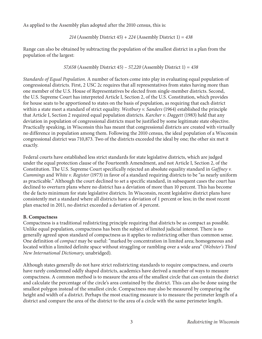As applied to the Assembly plan adopted after the 2010 census, this is:

214 (Assembly District 
$$
45
$$
) + 224 (Assembly District 1) = 438

Range can also be obtained by subtracting the population of the smallest district in a plan from the population of the largest:

*57,658* (Assembly District 45) *– 57,220* (Assembly District 1) *= 438*

*Standards of Equal Population*. A number of factors come into play in evaluating equal population of congressional districts. First, 2 USC 2c requires that all representatives from states having more than one member of the U.S. House of Representatives be elected from single-member districts. Second, the U.S. Supreme Court has interpreted Article I, Section 2, of the U.S. Constitution, which provides for house seats to be apportioned to states on the basis of population, as requiring that each district within a state meet a standard of strict equality. *Westbury v. Sanders* (1964) established the principle that Article I, Section 2 required equal population districts. *Karcher v. Daggett* (1983) held that any deviation in population of congressional districts must be justified by some legitimate state objective. Practically speaking, in Wisconsin this has meant that congressional districts are created with virtually no difference in population among them. Following the 2010 census, the ideal population of a Wisconsin congressional district was 710,873. Two of the districts exceeded the ideal by one; the other six met it exactly.

Federal courts have established less strict standards for state legislative districts, which are judged under the equal protection clause of the Fourteenth Amendment, and not Article I, Section 2, of the Constitution. The U.S. Supreme Court specifically rejected an absolute equality standard in *Gaffney v. Cummings* and *White v. Register* (1973) in favor of a standard requiring districts to be "as nearly uniform as practicable." Although the court declined to set a specific standard, in subsequent cases the court has declined to overturn plans where no district has a deviation of more than 10 percent. This has become the de facto minimum for state legislative districts. In Wisconsin, recent legislative district plans have consistently met a standard where all districts have a deviation of 1 percent or less; in the most recent plan enacted in 2011, no district exceeded a deviation of .4 percent.

#### **B. Compactness**

Compactness is a traditional redistricting principle requiring that districts be as compact as possible. Unlike equal population, compactness has been the subject of limited judicial interest. There is no generally agreed upon standard of compactness as it applies to redistricting other than common sense. One definition of *compact* may be useful: "marked by concentration in limited area; homogeneous and located within a limited definite space without straggling or rambling over a wide area" (*Webster's Third New International Dictionary*, unabridged).

Although states generally do not have strict redistricting standards to require compactness, and courts have rarely condemned oddly shaped districts, academics have derived a number of ways to measure compactness. A common method is to measure the area of the smallest circle that can contain the district and calculate the percentage of the circle's area contained by the district. This can also be done using the smallest polygon instead of the smallest circle. Compactness may also be measured by comparing the height and width of a district. Perhaps the most exacting measure is to measure the perimeter length of a district and compare the area of the district to the area of a circle with the same perimeter length.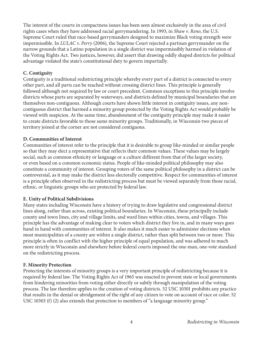The interest of the courts in compactness issues has been seen almost exclusively in the area of civil rights cases when they have addressed racial gerrymandering. In 1993, in *Shaw v. Reno*, the U.S. Supreme Court ruled that race-based gerrymanders designed to maximize Black voting strength were impermissible. In *LULAC v. Perry* (2006), the Supreme Court rejected a partisan gerrymander on the narrow grounds that a Latino population in a single district was impermissibly harmed in violation of the Voting Rights Act. Two justices, however, did assert that drawing oddly shaped districts for political advantage violated the state's constitutional duty to govern impartially.

#### **C. Contiguity**

Contiguity is a traditional redistricting principle whereby every part of a district is connected to every other part, and all parts can be reached without crossing district lines. This principle is generally followed although not required by law or court precedent. Common exceptions to this principle involve districts whose parts are separated by waterways, and districts defined by municipal boundaries that are themselves non-contiguous. Although courts have shown little interest in contiguity issues, any noncontiguous district that harmed a minority group protected by the Voting Rights Act would probably be viewed with suspicion. At the same time, abandonment of the contiguity principle may make it easier to create districts favorable to those same minority groups. Traditionally, in Wisconsin two pieces of territory joined at the corner are not considered contiguous.

#### **D. Communities of Interest**

Communities of interest refer to the principle that it is desirable to group like-minded or similar people so that they may elect a representative that reflects their common values. These values may be largely social, such as common ethnicity or language or a culture different from that of the larger society, or even based on a common economic status. People of like-minded political philosophy may also constitute a community of interest. Grouping voters of the same political philosophy in a district can be controversial, as it may make the district less electorally competitive. Respect for communities of interest is a principle often observed in the redistricting process but must be viewed separately from those racial, ethnic, or linguistic groups who are protected by federal law.

#### **E. Unity of Political Subdivisions**

Many states including Wisconsin have a history of trying to draw legislative and congressional district lines along, rather than across, existing political boundaries. In Wisconsin, these principally include county and town lines, city and village limits, and ward lines within cities, towns, and villages. This principle has the advantage of making clear to voters which district they live in, and in many ways goes hand in hand with communities of interest. It also makes it much easier to administer elections when most municipalities of a county are within a single district, rather than split between two or more. This principle is often in conflict with the higher principle of equal population, and was adhered to much more strictly in Wisconsin and elsewhere before federal courts imposed the one-man, one-vote standard on the redistricting process.

#### **F. Minority Protection**

Protecting the interests of minority groups is a very important principle of redistricting because it is required by federal law. The Voting Rights Act of 1965 was enacted to prevent state or local governments from hindering minorities from voting either directly or subtly through manipulation of the voting process. The law therefore applies to the creation of voting districts. 52 USC 10301 prohibits any practice that results in the denial or abridgement of the right of any citizen to vote on account of race or color. 52 USC 10303 (f) (2) also extends that protection to members of "a language minority group."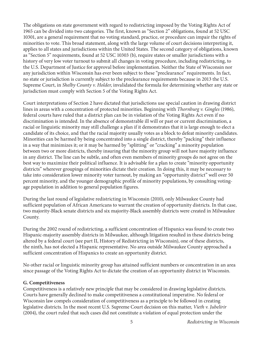The obligations on state government with regard to redistricting imposed by the Voting Rights Act of 1965 can be divided into two categories. The first, known as "Section 2" obligations, found at 52 USC 10301, are a general requirement that no voting standard, practice, or procedure can impair the rights of minorities to vote. This broad statement, along with the large volume of court decisions interpreting it, applies to all states and jurisdictions within the United States. The second category of obligations, known as "Section 5" requirements, found at 52 USC 10303 (b), require states or smaller jurisdictions with a history of very low voter turnout to submit all changes in voting procedure, including redistricting, to the U.S. Department of Justice for approval before implementation. Neither the State of Wisconsin nor any jurisdiction within Wisconsin has ever been subject to these "preclearance" requirements. In fact, no state or jurisdiction is currently subject to the preclearance requirements because in 2013 the U.S. Supreme Court, in *Shelby County v. Holder*, invalidated the formula for determining whether any state or jurisdiction must comply with Section 5 of the Voting Rights Act.

Court interpretations of Section 2 have dictated that jurisdictions use special caution in drawing district lines in areas with a concentration of protected minorities. Beginning with *Thornburg v. Gingles* (1986), federal courts have ruled that a district plan can be in violation of the Voting Rights Act even if no discrimination is intended. In the absence of demonstrable ill will or past or current discrimination, a racial or linguistic minority may still challenge a plan if it demonstrates that it is large enough to elect a candidate of its choice, and that the racial majority usually votes as a block to defeat minority candidates. Minorities can be harmed by being concentrated into a single district, thereby "packing" their influence in a way that minimizes it; or it may be harmed by "splitting" or "cracking" a minority population between two or more districts, thereby insuring that the minority group will not have majority influence in any district. The line can be subtle, and often even members of minority groups do not agree on the best way to maximize their political influence. It is advisable for a plan to create "minority opportunity districts" wherever groupings of minorities dictate their creation. In doing this, it may be necessary to take into consideration lower minority voter turnout, by making an "opportunity district" well over 50 percent minority, and the younger demographic profile of minority populations, by consulting votingage population in addition to general population figures.

During the last round of legislative redistricting in Wisconsin (2010), only Milwaukee County had sufficient population of African Americans to warrant the creation of opportunity districts. In that case, two majority-Black senate districts and six majority-Black assembly districts were created in Milwaukee County.

During the 2002 round of redistricting, a sufficient concentration of Hispanics was found to create two Hispanic-majority assembly districts in Milwaukee, although litigation resulted in these districts being altered by a federal court (see part II, History of Redistricting in Wisconsin), one of these districts, the ninth, has not elected a Hispanic representative. No area outside Milwaukee County approached a sufficient concentration of Hispanics to create an opportunity district.

No other racial or linguistic minority group has attained sufficient numbers or concentration in an area since passage of the Voting Rights Act to dictate the creation of an opportunity district in Wisconsin.

#### **G. Competitiveness**

Competitiveness is a relatively new principle that may be considered in drawing legislative districts. Courts have generally declined to make competitiveness a constitutional imperative. No federal or Wisconsin law compels consideration of competitiveness as a principle to be followed in creating legislative districts. In the most recent U.S. Supreme Court decision on this matter, *Vieth v. Jubelirir* (2004), the court ruled that such cases did not constitute a violation of equal protection under the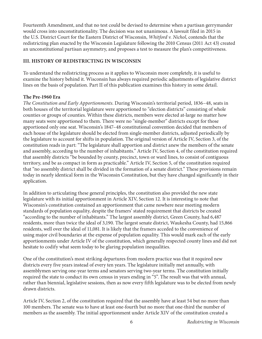Fourteenth Amendment, and that no test could be devised to determine when a partisan gerrymander would cross into unconstitutionality. The decision was not unanimous. A lawsuit filed in 2015 in the U.S. District Court for the Eastern District of Wisconsin, *Whitford v. Nichol*, contends that the redistricting plan enacted by the Wisconsin Legislature following the 2010 Census (2011 Act 43) created an unconstitutional partisan asymmetry, and proposes a test to measure the plan's competitiveness.

## **III. HISTORY OF REDISTRICTING IN WISCONSIN**

To understand the redistricting process as it applies to Wisconsin more completely, it is useful to examine the history behind it. Wisconsin has always required periodic adjustments of legislative district lines on the basis of population. Part II of this publication examines this history in some detail.

#### **The Pre-1960 Era**

*The Constitution and Early Apportionments*. During Wisconsin's territorial period, 1836–48, seats in both houses of the territorial legislature were apportioned to "election districts" consisting of whole counties or groups of counties. Within these districts, members were elected at-large no matter how many seats were apportioned to them. There were no "single-member" districts except for those apportioned only one seat. Wisconsin's 1847–48 constitutional convention decided that members of each house of the legislature should be elected from single-member districts, adjusted periodically by the legislature to account for shifts in population. The original version of Article IV, Section 3, of the constitution reads in part: "The legislature shall apportion and district anew the members of the senate and assembly, according to the number of inhabitants." Article IV, Section 4, of the constitution required that assembly districts "be bounded by county, precinct, town or ward lines, to consist of contiguous territory, and be as compact in form as practicable." Article IV, Section 5, of the constitution required that "no assembly district shall be divided in the formation of a senate district." These provisions remain today in nearly identical form in the Wisconsin Constitution, but they have changed significantly in their application.

In addition to articulating these general principles, the constitution also provided the new state legislature with its initial apportionment in Article XIV, Section 12. It is interesting to note that Wisconsin's constitution contained an apportionment that came nowhere near meeting modern standards of population equality, despite the framers' stated requirement that districts be created "according to the number of inhabitants." The largest assembly district, Green County, had 6,487 residents, more than twice the ideal of 3,190. The largest senate district, Waukesha County, had 15,866 residents, well over the ideal of 11,081. It is likely that the framers acceded to the convenience of using major civil boundaries at the expense of population equality. This would mark each of the early apportionments under Article IV of the constitution, which generally respected county lines and did not hesitate to codify what seem today to be glaring population inequalities.

One of the constitution's most striking departures from modern practice was that it required new districts every five years instead of every ten years. The legislature initially met annually, with assemblymen serving one-year terms and senators serving two-year terms. The constitution initially required the state to conduct its own census in years ending in "5". The result was that with annual, rather than biennial, legislative sessions, then as now every fifth legislature was to be elected from newly drawn districts.

Article IV, Section 2, of the constitution required that the assembly have at least 54 but no more than 100 members. The senate was to have at least one-fourth but no more that one-third the number of members as the assembly. The initial apportionment under Article XIV of the constitution created a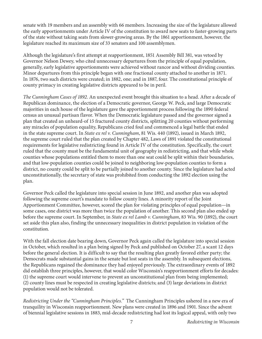senate with 19 members and an assembly with 66 members. Increasing the size of the legislature allowed the early apportionments under Article IV of the constitution to award new seats to faster-growing parts of the state without taking seats from slower-growing areas. By the 1861 apportionment, however, the legislature reached its maximum size of 33 senators and 100 assemblymen.

Although the legislature's first attempt at reapportionment, 1851 Assembly Bill 381, was vetoed by Governor Nelson Dewey, who cited unnecessary departures from the principle of equal population, generally, early legislative apportionments were achieved without rancor and without dividing counties. Minor departures from this principle began with one fractional county attached to another in 1871. In 1876, two such districts were created; in 1882, one; and in 1887, four. The constitutional principle of county primacy in creating legislative districts appeared to be in peril.

*The Cunningham Cases of 1892*. An unexpected event brought this situation to a head. After a decade of Republican dominance, the election of a Democratic governor, George W. Peck, and large Democratic majorities in each house of the legislature gave the apportionment process following the 1890 federal census an unusual partisan flavor. When the Democratic legislature passed and the governor signed a plan that created an unheard-of 15 fractured county districts, splitting 20 counties without performing any miracles of population equality, Republicans cried foul and commenced a legal battle that ended in the state supreme court. In *State ex rel v. Cunningham*, 81 Wis. 440 (1892), issued in March 1892, the supreme court ruled that the plan created by Chapter 482, Laws of 1891 violated the constitutional requirements for legislative redistricting found in Article IV of the constitution. Specifically, the court ruled that the county must be the fundamental unit of geography in redistricting, and that while whole counties whose populations entitled them to more than one seat could be split within their boundaries, and that low-population counties could be joined to neighboring low-population counties to form a district, no county could be split to be partially joined to another county. Since the legislature had acted unconstitutionally, the secretary of state was prohibited from conducting the 1892 election using the plan.

Governor Peck called the legislature into special session in June 1892, and another plan was adopted following the supreme court's mandate to follow county lines. A minority report of the Joint Apportionment Committee, however, scored the plan for violating principles of equal population—in some cases, one district was more than twice the population of another. This second plan also ended up before the supreme court. In September, in *State ex rel Lamb v. Cunningham*, 83 Wis. 90 (1892), the court set aside this plan also, finding the unnecessary inequalities in district population in violation of the constitution.

With the fall election date bearing down, Governor Peck again called the legislature into special session in October, which resulted in a plan being signed by Peck and published on October 27, a scant 12 days before the general election. It is difficult to say that the resulting plan greatly favored either party; the Democrats made substantial gains in the senate but lost seats in the assembly. In subsequent elections, the Republicans regained the dominance they had enjoyed previously. The extraordinary events of 1892 did establish three principles, however, that would color Wisconsin's reapportionment efforts for decades: (1) the supreme court would intervene to prevent an unconstitutional plan from being implemented; (2) county lines must be respected in creating legislative districts; and (3) large deviations in district population would not be tolerated.

*Redistricting Under the "Cunningham Principles."* The Cunningham Principles ushered in a new era of tranquility in Wisconsin reapportionment. New plans were created in 1896 and 1901. Since the advent of biennial legislative sessions in 1883, mid-decade redistricting had lost its logical appeal, with only two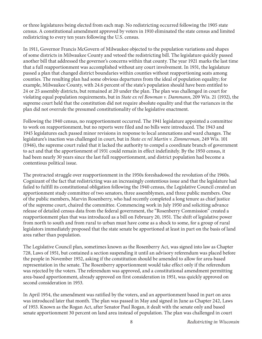or three legislatures being elected from each map. No redistricting occurred following the 1905 state census. A constitutional amendment approved by voters in 1910 eliminated the state census and limited redistricting to every ten years following the U.S. census.

In 1911, Governor Francis McGovern of Milwaukee objected to the population variations and shapes of some districts in Milwaukee County and vetoed the redistricting bill. The legislature quickly passed another bill that addressed the governor's concerns within that county. The year 1921 marks the last time that a full reapportionment was accomplished without any court involvement. In 1931, the legislature passed a plan that changed district boundaries within counties without reapportioning seats among counties. The resulting plan had some obvious departures from the ideal of population equality; for example, Milwaukee County, with 24.6 percent of the state's population should have been entitled to 24 or 25 assembly districts, but remained at 20 under the plan. The plan was challenged in court for violating equal population requirements, but in *State ex rel Bowman v. Dammann*, 209 Wis. 21 (1932), the supreme court held that the constitution did not require absolute equality and that the variances in the plan did not overrule the presumed constitutionality of the legislative enactment.

Following the 1940 census, no reapportionment occurred. The 1941 legislature appointed a committee to work on reapportionment, but no reports were filed and no bills were introduced. The 1943 and 1945 legislatures each passed minor revisions in response to local annexations and ward changes. The legislature's inaction was challenged in court, but in *State ex rel Martin v. Zimmerman*, 249 Wis. 101 (1946), the supreme court ruled that it lacked the authority to compel a coordinate branch of government to act and that the apportionment of 1931 could remain in effect indefinitely. By the 1950 census, it had been nearly 30 years since the last full reapportionment, and district population had become a contentious political issue.

The protracted struggle over reapportionment in the 1950s foreshadowed the revolution of the 1960s. Cognizant of the fact that redistricting was an increasingly contentious issue and that the legislature had failed to fulfill its constitutional obligation following the 1940 census, the Legislative Council created an apportionment study committee of two senators, three assemblymen, and three public members. One of the public members, Marvin Rosenberry, who had recently completed a long tenure as chief justice of the supreme court, chaired the committee. Commencing work in July 1950 and soliciting advance release of detailed census data from the federal government, the "Rosenberry Commission" created a reapportionment plan that was introduced as a bill on February 20, 1951. The shift of legislative power from north to south and from rural to urban must have come as a shock to some, for a group of rural legislators immediately proposed that the state senate be apportioned at least in part on the basis of land area rather than population.

The Legislative Council plan, sometimes known as the Rosenberry Act, was signed into law as Chapter 728, Laws of 1951, but contained a section suspending it until an advisory referendum was placed before the people in November 1952, asking if the constitution should be amended to allow for area-based representation in the senate. The Rosenberry apportionment would take effect only if the referendum was rejected by the voters. The referendum was approved, and a constitutional amendment permitting area-based apportionment, already approved on first consideration in 1951, was quickly approved on second consideration in 1953.

In April 1954, the amendment was ratified by the voters, and an apportionment based in part on area was introduced later that month. The plan was passed in May and signed in June as Chapter 242, Laws of 1953. Known as the Rogan Act, after Senator Paul Rogan, it dealt with the senate only and based senate apportionment 30 percent on land area instead of population. The plan was challenged in court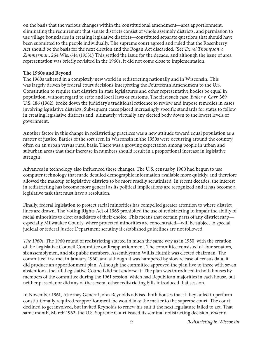on the basis that the various changes within the constitutional amendment—area apportionment, eliminating the requirement that senate districts consist of whole assembly districts, and permission to use village boundaries in creating legislative districts—constituted separate questions that should have been submitted to the people individually. The supreme court agreed and ruled that the Rosenberry Act should be the basis for the next election and the Rogan Act discarded. (See *Ex rel Thompson v. Zimmerman*, 264 Wis. 644 (1953).) This settled the issue for the decade, and although the issue of area representation was briefly revisited in the 1960s, it did not come close to implementation.

#### **The 1960s and Beyond**

The 1960s ushered in a completely new world in redistricting nationally and in Wisconsin. This was largely driven by federal court decisions interpreting the Fourteenth Amendment to the U.S. Constitution to require that districts in state legislatures and other representative bodies be equal in population, without regard to state and local laws or customs. The first such case, *Baker v. Carr*, 369 U.S. 186 (1962), broke down the judiciary's traditional reticence to review and impose remedies in cases involving legislative districts. Subsequent cases placed increasingly specific standards for states to follow in creating legislative districts and, ultimately, virtually any elected body down to the lowest levels of government.

Another factor in this change in redistricting practices was a new attitude toward equal population as a matter of justice. Battles of the sort seen in Wisconsin in the 1950s were occurring around the country, often on an urban versus rural basis. There was a growing expectation among people in urban and suburban areas that their increase in numbers should result in a proportional increase in legislative strength.

Advances in technology also influenced these changes. The U.S. census by 1960 had begun to use computer technology that made detailed demographic information available more quickly, and therefore allowed the makeup of legislative districts to be more readily scrutinized. In recent decades, the interest in redistricting has become more general as its political implications are recognized and it has become a legislative task that must have a resolution.

Finally, federal legislation to protect racial minorities has compelled greater attention to where district lines are drawn. The Voting Rights Act of 1965 prohibited the use of redistricting to impair the ability of racial minorities to elect candidates of their choice. This means that certain parts of any district map especially Milwaukee County, where protected minorities are concentrated—will be subject to special judicial or federal Justice Department scrutiny if established guidelines are not followed.

*The 1960s*. The 1960 round of redistricting started in much the same way as in 1950, with the creation of the Legislative Council Committee on Reapportionment. The committee consisted of four senators, six assemblymen, and six public members. Assemblyman Willis Hutnik was elected chairman. The committee first met in January 1960, and although it was hampered by slow release of census data, it did produce an apportionment plan. Although the committee approved the plan five to three with seven abstentions, the full Legislative Council did not endorse it. The plan was introduced in both houses by members of the committee during the 1961 session, which had Republican majorities in each house, but neither passed, nor did any of the several other redistricting bills introduced that session.

In November 1961, Attorney General John Reynolds advised both houses that if they failed to perform constitutionally required reapportionment, he would take the matter to the supreme court. The court declined to get involved, but invited Reynolds to renew his suit if the next legislature failed to act. That same month, March 1962, the U.S. Supreme Court issued its seminal redistricting decision, *Baker v.*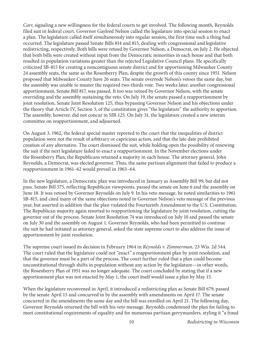*Carr*, signaling a new willingness for the federal courts to get involved. The following month, Reynolds filed suit in federal court. Governor Gaylord Nelson called the legislature into special session to enact a plan. The legislature called itself simultaneously into regular session, the first time such a thing had occurred. The legislature passed Senate Bills 814 and 815, dealing with congressional and legislative redistricting, respectively. Both bills were vetoed by Governor Nelson, a Democrat, on July 2. He objected that both bills were created without input from the Democratic minorities in each house and that both resulted in population variations greater than the rejected Legislative Council plans. He specifically criticized SB-815 for creating a noncontiguous senate district and for apportioning Milwaukee County 24 assembly seats, the same as the Rosenberry Plan, despite the growth of this county since 1951. Nelson proposed that Milwaukee County have 26 seats. The senate overrode Nelson's vetoes the same day, but the assembly was unable to muster the required two-thirds vote. Two weeks later, another congressional apportionment, Senate Bill 817, was passed. It too was vetoed by Governor Nelson, with the senate overriding and the assembly sustaining the veto. On July 19, the senate passed a reapportionment by joint resolution, Senate Joint Resolution 125, thus bypassing Governor Nelson and his objections under the theory that Article IV, Section 3, of the constitution gives "the legislature" the authority to apportion. The assembly, however, did not concur in SJR-125. On July 31, the legislature created a new interim committee on reapportionment, and adjourned.

On August 3, 1962, the federal special master reported to the court that the inequalities of district population were not the result of arbitrary or capricious action, and that the late date prohibited creation of any alternative. The court dismissed the suit, while holding open the possibility of renewing the suit if the next legislature failed to enact a reapportionment. In the November elections under the Rosenberry Plan, the Republicans retained a majority in each house. The attorney general, John Reynolds, a Democrat, was elected governor. Thus, the same partisan alignment that failed to produce a reapportionment in 1961–62 would prevail in 1963–64.

In the new legislature, a Democratic plan was introduced in January as Assembly Bill 99, but did not pass. Senate Bill 575, reflecting Republican viewpoints, passed the senate on June 6 and the assembly on June 18. It was vetoed by Governor Reynolds on July 9. In his veto message, he noted similarities to 1961 SB-815, and cited many of the same objections noted in Governor Nelson's veto message of the previous year, but asserted in addition that the plan violated the Fourteenth Amendment to the U.S. Constitution. The Republican majority again resorted to reapportioning the legislature by joint resolution, cutting the governor out of the process. Senate Joint Resolution 74 was introduced on July 10 and passed the senate on July 30 and the assembly on August 1. Governor Reynolds, who had been permitted to continue the suit he had initiated as attorney general, asked the state supreme court to also address the issue of apportionment by joint resolution.

The supreme court issued its decision in February 1964 in *Reynolds v. Zimmerman,* 23 Wis. 2d 544. The court ruled that the legislature could not "enact" a reapportionment plan by joint resolution, and that the governor must be a part of the process. The court further ruled that a plan could become unconstitutional through shifts in population without any action by the legislature—in other words, the Rosenberry Plan of 1951 was no longer adequate. The court concluded by stating that if a new apportionment plan was not enacted by May 1, the court itself would issue a plan by May 15.

When the legislature reconvened in April, it introduced a redistricting plan as Senate Bill 679, passed by the senate April 15 and concurred in by the assembly with amendments on April 17. The senate concurred in the amendments the same day and the bill was enrolled on April 21. The following day, Governor Reynolds returned the bill with his veto message. Reynolds condemned the plan for failing to meet constitutional requirements of equality and for numerous partisan gerrymanders, styling it "a fraud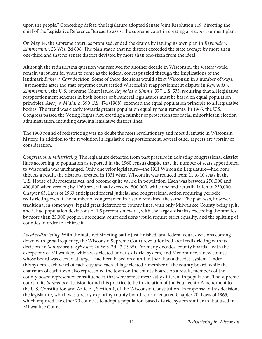upon the people." Conceding defeat, the legislature adopted Senate Joint Resolution 109, directing the chief of the Legislative Reference Bureau to assist the supreme court in creating a reapportionment plan.

On May 14, the supreme court, as promised, ended the drama by issuing its own plan in *Reynolds v. Zimmerman*, 23 Wis. 2d 606. The plan stated that no district exceeded the state average by more than one-third and that no senate district deviated by more than one-sixth from the ideal.

Although the redistricting question was resolved for another decade in Wisconsin, the waters would remain turbulent for years to come as the federal courts puzzled through the implications of the landmark *Baker v. Carr* decision. Some of these decisions would affect Wisconsin in a number of ways. Just months after the state supreme court settled Wisconsin's reapportionment dispute in *Reynolds v. Zimmerman*, the U.S. Supreme Court issued *Reynolds v. Simms*, 377 U.S. 533, requiring that all legislative reapportionment schemes in both houses of bicameral legislatures must be based on equal population principles. *Avery v. Midland*, 390 U.S. 474 (1968), extended the equal population principle to all legislative bodies. The trend was clearly towards greater population equality requirements. In 1965, the U.S. Congress passed the Voting Rights Act, creating a number of protections for racial minorities in election administration, including drawing legislative district lines.

The 1960 round of redistricting was no doubt the most revolutionary and most dramatic in Wisconsin history. In addition to the revolution in legislative reapportionment, several other aspects are worthy of consideration.

*Congressional redistricting*. The legislature departed from past practice in adjusting congressional district lines according to population as reported in the 1960 census despite that the number of seats apportioned to Wisconsin was unchanged. Only one prior legislature—the 1911 Wisconsin Legislature—had done this. As a result, the districts, created in 1931 when Wisconsin was reduced from 11 to 10 seats in the U.S. House of Representatives, had become quite varied in population. Each was between 250,000 and 400,000 when created; by 1960 several had exceeded 500,000, while one had actually fallen to 230,000. Chapter 63, Laws of 1963 anticipated federal judicial and congressional action requiring periodic redistricting even if the number of congressmen in a state remained the same. The plan was, however, traditional in some ways. It paid great deference to county lines, with only Milwaukee County being split; and it had population deviations of 1.5 percent statewide, with the largest districts exceeding the smallest by more than 25,000 people. Subsequent court decisions would require strict equality, and the splitting of counties in order to achieve it.

*Local redistricting*. With the state redistricting battle just finished, and federal court decisions coming down with great frequency, the Wisconsin Supreme Court revolutionized local redistricting with its decision in *Sonneborn v. Sylvester*, 26 Wis. 2d 43 (1965). For many decades, county boards—with the exceptions of Milwaukee, which was elected under a district system, and Menominee, a new county whose board was elected at large—had been based on a unit, rather than a district, system. Under this system, each ward of each city and each village elected a member of the county board, while the chairman of each town also represented the town on the county board. As a result, members of the county board represented constituencies that were sometimes vastly different in population. The supreme court in its *Sonneborn* decision found this practice to be in violation of the Fourteenth Amendment to the U.S. Constitution and Article I, Section 1, of the Wisconsin Constitution. In response to this decision, the legislature, which was already exploring county board reform, enacted Chapter 20, Laws of 1965, which required the other 70 counties to adopt a population-based district system similar to that used in Milwaukee County.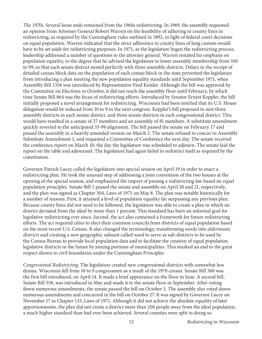*The 1970s*. Several loose ends remained from the 1960s redistricting. In 1969, the assembly requested an opinion from Attorney General Robert Warren on the feasibility of adhering to county lines in redistricting, as required by the Cunningham rules outlined in 1892, in light of federal court decisions on equal population. Warren indicated that the strict adherence to county lines of long custom would have to be set aside for redistricting purposes. In 1971, as the legislature began the redistricting process, leadership addressed a number of questions to the attorney general. Warren restated his emphasis on population equality, to the degree that he advised the legislature to lower assembly membership from 100 to 99, so that each senate district nested perfectly with three assembly districts. Delays in the receipt of detailed census block data on the population of each census block in the state prevented the legislature from introducing a plan meeting the new population equality standards until September 1971, when Assembly Bill 1356 was introduced by Representative Fred Kessler. Although the bill was approved by the Committee on Elections in October, it did not reach the assembly floor until February, by which time Senate Bill 864 was the focus of redistricting efforts. Introduced by Senator Ernest Keppler, the bill initially proposed a novel arrangement for redistricting. Wisconsin had been notified that its U.S. House delegation would be reduced from 10 to 9 in the next congress. Keppler's bill proposed to nest three assembly districts in each senate district, and three senate districts in each congressional district. This would have resulted in a senate of 27 members and an assembly of 81 members. A substitute amendment quickly reverted to the anticipated 33-99 alignment. The bill passed the senate on February 17 and passed the assembly in a heavily amended version on March 2. The senate refused to concur in Assembly Substitute Amendment 1, and requested a Committee of Conference the next day. The senate received the conference report on March 10, the day the legislature was scheduled to adjourn. The senate laid the report on the table and adjourned. The legislature had again failed to redistrict itself as required by the constitution.

Governor Patrick Lucey called the legislature into special session on April 19 in order to enact a redistricting plan. He took the unusual step of addressing a joint convention of the two houses at the opening of the special session, and emphasized the import of passing a redistricting law based on equal population principles. Senate Bill 1 passed the senate and assembly on April 20 and 21, respectively, and the plan was signed as Chapter 304, Laws of 1971 on May 8. The plan was notable historically for a number of reasons. First, it attained a level of population equality far surpassing any previous plan. Because county lines did not need to be followed, the legislature was able to create a plan in which no district deviated from the ideal by more than 1 percent. This standard has been an informal goal for legislative redistricting ever since. Second, the act also contained a framework for future redistricting efforts. The act required cities to elect their common councils from districts of equal population based on the most recent U.S. Census. It also changed the terminology, transforming *wards* into *aldermanic districts* and creating a new geographic subunit called *ward* to serve as sub-districts to be used by the Census Bureau to provide local population data and to facilitate the creation of equal population legislative districts in the future by joining portions of municipalities. This marked an end to the great respect shown to civil boundaries under the Cunningham Principles.

*Congressional Redistricting*. The legislature created new congressional districts with somewhat less drama. Wisconsin fell from 10 to 9 congressmen as a result of the 1970 census. Senate Bill 360 was the first bill introduced, on April 14. It made a brief appearance on the floor in June. A second bill, Senate Bill 558, was introduced in May and made it to the senate floor in September. After voting down numerous amendments, the senate passed the bill on October 5. The assembly also voted down numerous amendments and concurred in the bill on October 27. It was signed by Governor Lucey on November 17 as Chapter 133, Laws of 1971. Although it did not achieve the absolute equality of later apportionments, the plan did not create a district more than 200 people away from the ideal population, a much higher standard than had ever been achieved. Several counties were split in doing so.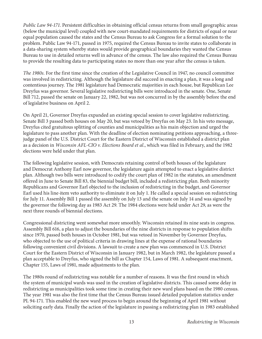*Public Law 94-171*. Persistent difficulties in obtaining official census returns from small geographic areas (below the municipal level) coupled with new court-mandated requirements for districts of equal or near equal population caused the states and the Census Bureau to ask Congress for a formal solution to the problem. Public Law 94-171, passed in 1975, required the Census Bureau to invite states to collaborate in a data-sharing system whereby states would provide geographical boundaries they wanted the Census Bureau to use in detailed returns well in advance of the census. The law also required the Census Bureau to provide the resulting data to participating states no more than one year after the census is taken.

*The 1980s*. For the first time since the creation of the Legislative Council in 1947, no council committee was involved in redistricting. Although the legislature did succeed in enacting a plan, it was a long and contentious journey. The 1981 legislature had Democratic majorities in each house, but Republican Lee Dreyfus was governor. Several legislative redistricting bills were introduced in the senate. One, Senate Bill 712, passed the senate on January 22, 1982, but was not concurred in by the assembly before the end of legislative business on April 2.

On April 21, Governor Dreyfus expanded an existing special session to cover legislative redistricting. Senate Bill 3 passed both houses on May 20, but was vetoed by Dreyfus on May 23. In his veto message, Dreyfus cited gratuitous splitting of counties and municipalities as his main objection and urged the legislature to pass another plan. With the deadline of election nominating petitions approaching, a threejudge panel of the U.S. District Court for the Eastern District of Wisconsin established a district plan as a decision in *Wisconsin AFL-CIO v. Elections Board et al.*, which was filed in February, and the 1982 elections were held under that plan.

The following legislative session, with Democrats retaining control of both houses of the legislature and Democrat Anthony Earl now governor, the legislature again attempted to enact a legislative district plan. Although two bills were introduced to codify the court plan of 1982 in the statutes, an amendment offered in June to Senate Bill 83, the biennial budget bill, included a redistricting plan. Both minority Republicans and Governor Earl objected to the inclusion of redistricting in the budget, and Governor Earl used his line-item veto authority to eliminate it on July 1. He called a special session on redistricting for July 11. Assembly Bill 1 passed the assembly on July 13 and the senate on July 14 and was signed by the governor the following day as 1983 Act 29. The 1984 elections were held under Act 29, as were the next three rounds of biennial elections.

Congressional districting went somewhat more smoothly. Wisconsin retained its nine seats in congress. Assembly Bill 616, a plan to adjust the boundaries of the nine districts in response to population shifts since 1970, passed both houses in October 1981, but was vetoed in November by Governor Dreyfus, who objected to the use of political criteria in drawing lines at the expense of rational boundaries following convenient civil divisions. A lawsuit to create a new plan was commenced in U.S. District Court for the Eastern District of Wisconsin in January 1982, but in March 1982, the legislature passed a plan acceptable to Dreyfus, who signed the bill as Chapter 154, Laws of 1981. A subsequent enactment, Chapter 155, Laws of 1981, made adjustments to the plan.

The 1980s round of redistricting was notable for a number of reasons. It was the first round in which the system of municipal wards was used in the creation of legislative districts. This caused some delay in redistricting as municipalities took some time in creating their new ward plans based on the 1980 census. The year 1981 was also the first time that the Census Bureau issued detailed population statistics under PL 94-171. This enabled the new ward process to begin around the beginning of April 1981 without soliciting early data. Finally the action of the legislature in passing a redistricting plan in 1983 established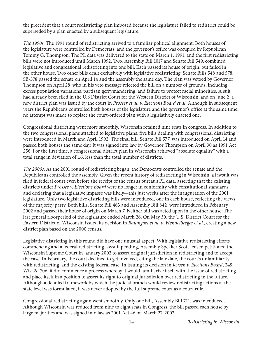the precedent that a court redistricting plan imposed because the legislature failed to redistrict could be superseded by a plan enacted by a subsequent legislature.

*The 1990s*. The 1991 round of redistricting arrived to a familiar political alignment. Both houses of the legislature were controlled by Democrats, and the governor's office was occupied by Republican Tommy G. Thompson. The PL data was delivered to the state on March 1, 1991, and the first redistricting bills were not introduced until March 1992. Two, Assembly Bill 1017 and Senate Bill 549, combined legislative and congressional redistricting into one bill. Each passed its house of origin, but failed in the other house. Two other bills dealt exclusively with legislative redistricting: Senate Bills 548 and 578. SB-578 passed the senate on April 14 and the assembly the same day. The plan was vetoed by Governor Thompson on April 28, who in his veto message rejected the bill on a number of grounds, including excess population variations, partisan gerrymandering, and failure to protect racial minorities. A suit had already been filed in the U.S District Court for the Western District of Wisconsin, and on June 2, a new district plan was issued by the court in *Prosser et al. v. Elections Board et al*. Although in subsequent years the Republicans controlled both houses of the legislature and the governor's office at the same time, no attempt was made to replace the court-ordered plan with a legislatively enacted one.

Congressional districting went more smoothly. Wisconsin retained nine seats in congress. In addition to the two congressional plans attached to legislative plans, five bills dealing with congressional districting were introduced in March and April 1992. The final bill, Senate Bill 577, was introduced on April 14 and passed both houses the same day. It was signed into law by Governor Thompson on April 30 as 1991 Act 256. For the first time, a congressional district plan in Wisconsin achieved "absolute equality" with a total range in deviation of  $\pm 6$ , less than the total number of districts.

*The 2000s*. As the 2001 round of redistricting began, the Democrats controlled the senate and the Republicans controlled the assembly. Given the recent history of redistricting in Wisconsin, a lawsuit was filed in federal court even before the receipt of the census bureau's PL data, asserting that the existing districts under *Prosser v. Elections Board* were no longer in conformity with constitutional standards and declaring that a legislative impasse was likely—this just weeks after the inauguration of the 2001 legislature. Only two legislative districting bills were introduced, one in each house, reflecting the views of the majority party. Both bills, Senate Bill 463 and Assembly Bill 842, were introduced in February 2002 and passed their house of origin on March 7. Neither bill was acted upon in the other house. The last general floorperiod of the legislature ended March 26. On May 30, the U.S. District Court for the Eastern District of Wisconsin issued its decision in *Baumgart et al. v. Wendelberger et al.*, creating a new district plan based on the 2000 census.

Legislative districting in this round did have one unusual aspect. With legislative redistricting efforts commencing and a federal redistricting lawsuit pending, Assembly Speaker Scott Jensen petitioned the Wisconsin Supreme Court in January 2002 to assert original jurisdiction in redistricting and to accept the case. In February, the court declined to get involved, citing the late date, the court's unfamiliarity with redistricting, and the existing federal case. In issuing its decision in *Jensen v. Elections Board*, 249 Wis. 2d 706, it did commence a process whereby it would familiarize itself with the issue of redistricting and place itself in a position to assert its right to original jurisdiction over redistricting in the future. Although a detailed framework by which the judicial branch would review redistricting actions at the state level was formulated, it was never adopted by the full supreme court as a court rule.

Congressional redistricting again went smoothly. Only one bill, Assembly Bill 711, was introduced. Although Wisconsin was reduced from nine to eight seats in Congress, the bill passed each house by large majorities and was signed into law as 2001 Act 46 on March 27, 2002.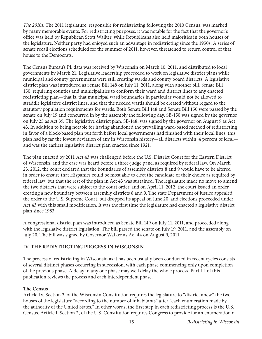*The 2010s*. The 2011 legislature, responsible for redistricting following the 2010 Census, was marked by many memorable events. For redistricting purposes, it was notable for the fact that the governor's office was held by Republican Scott Walker, while Republicans also held majorities in both houses of the legislature. Neither party had enjoyed such an advantage in redistricting since the 1950s. A series of senate recall elections scheduled for the summer of 2011, however, threatened to return control of that house to the Democrats.

The Census Bureau's PL data was received by Wisconsin on March 10, 2011, and distributed to local governments by March 21. Legislative leadership proceeded to work on legislative district plans while municipal and county governments were still creating wards and county board districts. A legislative district plan was introduced as Senate Bill 148 on July 11, 2011, along with another bill, Senate Bill 150, requiring counties and municipalities to conform their ward and district lines to any enacted redistricting plan—that is, that municipal ward boundaries in particular would not be allowed to straddle legislative district lines, and that the needed wards should be created without regard to the statutory population requirements for wards. Both Senate Bill 148 and Senate Bill 150 were passed by the senate on July 19 and concurred in by the assembly the following day. SB-150 was signed by the governor on July 25 as Act 39. The legislative district plan, SB-148, was signed by the governor on August 9 as Act 43. In addition to being notable for having abandoned the prevailing ward-based method of redistricting in favor of a block-based plan put forth before local governments had finished with their local lines, this plan had by far the lowest deviation of any in Wisconsin history—all districts within .4 percent of ideal and was the earliest legislative district plan enacted since 1921.

The plan enacted by 2011 Act 43 was challenged before the U.S. District Court for the Eastern District of Wisconsin, and the case was heard before a three-judge panel as required by federal law. On March 23, 2012, the court declared that the boundaries of assembly districts 8 and 9 would have to be altered in order to ensure that Hispanics could be most able to elect the candidate of their choice as required by federal law; but that the rest of the plan in Act 43 was sustained. The legislature made no move to amend the two districts that were subject to the court order, and on April 11, 2012, the court issued an order creating a new boundary between assembly districts 8 and 9. The state Department of Justice appealed the order to the U.S. Supreme Court, but dropped its appeal on June 20, and elections proceeded under Act 43 with this small modification. It was the first time the legislature had enacted a legislative district plan since 1983.

A congressional district plan was introduced as Senate Bill 149 on July 11, 2011, and proceeded along with the legislative district legislation. The bill passed the senate on July 19, 2011, and the assembly on July 20. The bill was signed by Governor Walker as Act 44 on August 9, 2011.

# **IV. THE REDISTRICTING PROCESS IN WISCONSIN**

The process of redistricting in Wisconsin as it has been usually been conducted in recent cycles consists of several distinct phases occurring in succession, with each phase commencing only upon completion of the previous phase. A delay in any one phase may well delay the whole process. Part III of this publication reviews the process and each interdependent phase.

# **The Census**

Article IV, Section 3, of the Wisconsin Constitution requires the legislature to "district anew" the two houses of the legislature "according to the number of inhabitants" after "each enumeration made by the authority of the United States." In other words, the first step in each redistricting process is the U.S. Census. Article I, Section 2, of the U.S. Constitution requires Congress to provide for an enumeration of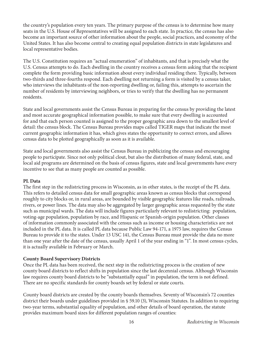the country's population every ten years. The primary purpose of the census is to determine how many seats in the U.S. House of Representatives will be assigned to each state. In practice, the census has also become an important source of other information about the people, social practices, and economy of the United States. It has also become central to creating equal population districts in state legislatures and local representative bodies.

The U.S. Constitution requires an "actual enumeration" of inhabitants, and that is precisely what the U.S. Census attempts to do. Each dwelling in the country receives a census form asking that the recipient complete the form providing basic information about every individual residing there. Typically, between two-thirds and three-fourths respond. Each dwelling not returning a form is visited by a census taker, who interviews the inhabitants of the non-reporting dwelling or, failing this, attempts to ascertain the number of residents by interviewing neighbors, or tries to verify that the dwelling has no permanent residents.

State and local governments assist the Census Bureau in preparing for the census by providing the latest and most accurate geographical information possible, to make sure that every dwelling is accounted for and that each person counted is assigned to the proper geographic area down to the smallest level of detail: the census block. The Census Bureau provides maps called TIGER maps that indicate the most current geographic information it has, which gives states the opportunity to correct errors, and allows census data to be plotted geographically as soon as it is available.

State and local governments also assist the Census Bureau in publicizing the census and encouraging people to participate. Since not only political clout, but also the distribution of many federal, state, and local aid programs are determined on the basis of census figures, state and local governments have every incentive to see that as many people are counted as possible.

#### **PL Data**

The first step in the redistricting process in Wisconsin, as in other states, is the receipt of the PL data. This refers to detailed census data for small geographic areas known as census blocks that correspond roughly to city blocks or, in rural areas, are bounded by visible geographic features like roads, railroads, rivers, or power lines. The data may also be aggregated by larger geographic areas requested by the state such as municipal wards. The data will include figures particularly relevant to redistricting: population, voting-age population, population by race, and Hispanic or Spanish-origin population. Other classes of information commonly associated with the census such as income or housing characteristics are not included in the PL data. It is called PL data because Public Law 94-171, a 1975 law, requires the Census Bureau to provide it to the states. Under 13 USC 141, the Census Bureau must provide the data no more than one year after the date of the census, usually April 1 of the year ending in "1". In most census cycles, it is actually available in February or March.

#### **County Board Supervisory Districts**

Once the PL data has been received, the next step in the redistricting process is the creation of new county board districts to reflect shifts in population since the last decennial census. Although Wisconsin law requires county board districts to be "substantially equal" in population, the term is not defined. There are no specific standards for county boards set by federal or state courts.

County board districts are created by the county boards themselves. Seventy of Wisconsin's 72 counties district their boards under guidelines provided in § 59.10 (3), Wisconsin Statutes. In addition to requiring two-year terms, substantial equality of population, and other details of board operation, the statute provides maximum board sizes for different population ranges of counties: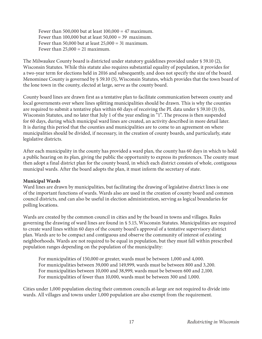Fewer than 500,000 but at least  $100,000 = 47$  maximum. Fewer than 100,000 but at least  $50,000 = 39$  maximum. Fewer than 50,000 but at least  $25,000 = 31$  maximum. Fewer than  $25,000 = 21$  maximum.

The Milwaukee County board is districted under statutory guidelines provided under § 59.10 (2), Wisconsin Statutes. While this statute also requires substantial equality of population, it provides for a two-year term for elections held in 2016 and subsequently, and does not specify the size of the board. Menominee County is governed by § 59.10 (5), Wisconsin Statutes, which provides that the town board of the lone town in the county, elected at large, serve as the county board.

County board lines are drawn first as a tentative plan to facilitate communication between county and local governments over where lines splitting municipalities should be drawn. This is why the counties are required to submit a tentative plan within 60 days of receiving the PL data under § 59.10 (3) (b), Wisconsin Statutes, and no later that July 1 of the year ending in "1". The process is then suspended for 60 days, during which municipal ward lines are created, an activity described in more detail later. It is during this period that the counties and municipalities are to come to an agreement on where municipalities should be divided, if necessary, in the creation of county boards, and particularly, state legislative districts.

After each municipality in the county has provided a ward plan, the county has 60 days in which to hold a public hearing on its plan, giving the public the opportunity to express its preferences. The county must then adopt a final district plan for the county board, in which each district consists of whole, contiguous municipal wards. After the board adopts the plan, it must inform the secretary of state.

#### **Municipal Wards**

Ward lines are drawn by municipalities, but facilitating the drawing of legislative district lines is one of the important functions of wards. Wards also are used in the creation of county board and common council districts, and can also be useful in election administration, serving as logical boundaries for polling locations.

Wards are created by the common council in cities and by the board in towns and villages. Rules governing the drawing of ward lines are found in § 5.15, Wisconsin Statutes. Municipalities are required to create ward lines within 60 days of the county board's approval of a tentative supervisory district plan. Wards are to be compact and contiguous and observe the community of interest of existing neighborhoods. Wards are not required to be equal in population, but they must fall within prescribed population ranges depending on the population of the municipality:

For municipalities of 150,000 or greater, wards must be between 1,000 and 4,000. For municipalities between 39,000 and 149,999, wards must be between 800 and 3,200. For municipalities between 10,000 and 38,999, wards must be between 600 and 2,100. For municipalities of fewer than 10,000, wards must be between 300 and 1,000.

Cities under 1,000 population electing their common councils at-large are not required to divide into wards. All villages and towns under 1,000 population are also exempt from the requirement.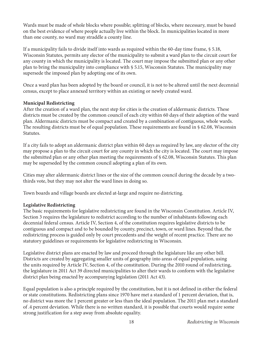Wards must be made of whole blocks where possible; splitting of blocks, where necessary, must be based on the best evidence of where people actually live within the block. In municipalities located in more than one county, no ward may straddle a county line.

If a municipality fails to divide itself into wards as required within the 60-day time frame, § 5.18, Wisconsin Statutes, permits any elector of the municipality to submit a ward plan to the circuit court for any county in which the municipality is located. The court may impose the submitted plan or any other plan to bring the municipality into compliance with § 5.15, Wisconsin Statutes. The municipality may supersede the imposed plan by adopting one of its own.

Once a ward plan has been adopted by the board or council, it is not to be altered until the next decennial census, except to place annexed territory within an existing or newly created ward.

#### **Municipal Redistricting**

After the creation of a ward plan, the next step for cities is the creation of aldermanic districts. These districts must be created by the common council of each city within 60 days of their adoption of the ward plan. Aldermanic districts must be compact and created by a combination of contiguous, whole wards. The resulting districts must be of equal population. These requirements are found in § 62.08, Wisconsin Statutes.

If a city fails to adopt an aldermanic district plan within 60 days as required by law, any elector of the city may propose a plan to the circuit court for any county in which the city is located. The court may impose the submitted plan or any other plan meeting the requirements of § 62.08, Wisconsin Statutes. This plan may be superseded by the common council adopting a plan of its own.

Cities may alter aldermanic district lines or the size of the common council during the decade by a twothirds vote, but they may not alter the ward lines in doing so.

Town boards and village boards are elected at-large and require no districting.

#### **Legislative Redistricting**

The basic requirements for legislative redistricting are found in the Wisconsin Constitution. Article IV, Section 3 requires the legislature to redistrict according to the number of inhabitants following each decennial federal census. Article IV, Section 4, of the constitution requires legislative districts to be contiguous and compact and to be bounded by county, precinct, town, or ward lines. Beyond that, the redistricting process is guided only by court precedents and the weight of recent practice. There are no statutory guidelines or requirements for legislative redistricting in Wisconsin.

Legislative district plans are enacted by law and proceed through the legislature like any other bill. Districts are created by aggregating smaller units of geography into areas of equal population, using the units required by Article IV, Section 4, of the constitution. During the 2010 round of redistricting, the legislature in 2011 Act 39 directed municipalities to alter their wards to conform with the legislative district plan being enacted by accompanying legislation (2011 Act 43).

Equal population is also a principle required by the constitution, but it is not defined in either the federal or state constitutions. Redistricting plans since 1970 have met a standard of 1 percent deviation, that is, no district was more the 1 percent greater or less than the ideal population. The 2011 plan met a standard of .4 percent deviation. While there is no written standard, it is possible that courts would require some strong justification for a step away from absolute equality.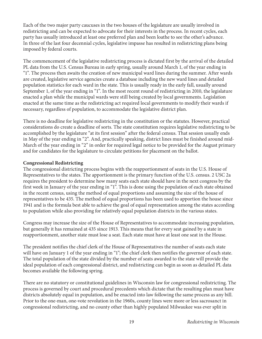Each of the two major party caucuses in the two houses of the legislature are usually involved in redistricting and can be expected to advocate for their interests in the process. In recent cycles, each party has usually introduced at least one preferred plan and been loathe to see the other's advance. In three of the last four decennial cycles, legislative impasse has resulted in redistricting plans being imposed by federal courts.

The commencement of the legislative redistricting process is dictated first by the arrival of the detailed PL data from the U.S. Census Bureau in early spring, usually around March 1, of the year ending in "1". The process then awaits the creation of new municipal ward lines during the summer. After wards are created, legislative service agencies create a database including the new ward lines and detailed population statistics for each ward in the state. This is usually ready in the early fall, usually around September 1, of the year ending in "1". In the most recent round of redistricting in 2010, the legislature enacted a plan while the municipal wards were still being created by local governments. Legislation enacted at the same time as the redistricting act required local governments to modify their wards if necessary, regardless of population, to accommodate the legislative district plan.

There is no deadline for legislative redistricting in the constitution or the statutes. However, practical considerations do create a deadline of sorts. The state constitution requires legislative redistricting to be accomplished by the legislature "at its first session" after the federal census. That session usually ends in May of the year ending in "2". And, practically speaking, district lines must be finished around mid-March of the year ending in "2" in order for required legal notice to be provided for the August primary and for candidates for the legislature to circulate petitions for placement on the ballot.

#### **Congressional Redistricting**

The congressional districting process begins with the reapportionment of seats in the U.S. House of Representatives to the states. The apportionment is the primary function of the U.S. census. 2 USC 2a requires the president to determine how many seats each state should have in the next congress by the first week in January of the year ending in "1". This is done using the population of each state obtained in the recent census, using the method of equal proportions and assuming the size of the house of representatives to be 435. The method of equal proportions has been used to apportion the house since 1941 and is the formula best able to achieve the goal of equal representation among the states according to population while also providing for relatively equal population districts in the various states.

Congress may increase the size of the House of Representatives to accommodate increasing population, but generally it has remained at 435 since 1913. This means that for every seat gained by a state in reapportionment, another state must lose a seat. Each state must have at least one seat in the House.

The president notifies the chief clerk of the House of Representatives the number of seats each state will have on January 1 of the year ending in "1"; the chief clerk then notifies the governor of each state. The total population of the state divided by the number of seats awarded to the state will provide the ideal population of each congressional district, and redistricting can begin as soon as detailed PL data becomes available the following spring.

There are no statutory or constitutional guidelines in Wisconsin law for congressional redistricting. The process is governed by court and procedural precedents which dictate that the resulting plan must have districts absolutely equal in population, and be enacted into law following the same process as any bill. Prior to the one-man, one-vote revolution in the 1960s, county lines were more or less sacrosanct in congressional redistricting, and no county other than highly populated Milwaukee was ever split in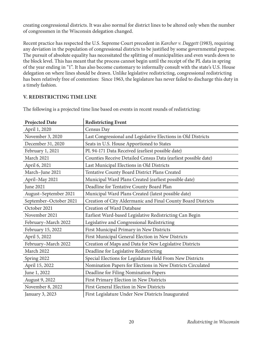creating congressional districts. It was also normal for district lines to be altered only when the number of congressmen in the Wisconsin delegation changed.

Recent practice has respected the U.S. Supreme Court precedent in *Karcher v. Daggett* (1983), requiring any deviation in the population of congressional districts to be justified by some governmental purpose. The pursuit of absolute equality has necessitated the splitting of municipalities and even wards down to the block level. This has meant that the process cannot begin until the receipt of the PL data in spring of the year ending in "1". It has also become customary to informally consult with the state's U.S. House delegation on where lines should be drawn. Unlike legislative redistricting, congressional redistricting has been relatively free of contention: Since 1963, the legislature has never failed to discharge this duty in a timely fashion.

#### **V. REDISTRICTING TIME LINE**

| <b>Projected Date</b>  | <b>Redistricting Event</b>                                     |
|------------------------|----------------------------------------------------------------|
| April 1, 2020          | Census Day                                                     |
| November 3, 2020       | Last Congressional and Legislative Elections in Old Districts  |
| December 31, 2020      | Seats in U.S. House Apportioned to States                      |
| February 1, 2021       | PL 94-171 Data Received (earliest possible date)               |
| March 2021             | Counties Receive Detailed Census Data (earliest possible date) |
| April 6, 2021          | Last Municipal Elections in Old Districts                      |
| March-June 2021        | Tentative County Board District Plans Created                  |
| April-May 2021         | Municipal Ward Plans Created (earliest possible date)          |
| June 2021              | Deadline for Tentative County Board Plan                       |
| August-September 2021  | Municipal Ward Plans Created (latest possible date)            |
| September-October 2021 | Creation of City Aldermanic and Final County Board Districts   |
| October 2021           | Creation of Ward Database                                      |
| November 2021          | Earliest Ward-based Legislative Redistricting Can Begin        |
| February-March 2022    | Legislative and Congressional Redistricting                    |
| February 15, 2022      | First Municipal Primary in New Districts                       |
| April 5, 2022          | First Municipal General Election in New Districts              |
| February-March 2022    | Creation of Maps and Data for New Legislative Districts        |
| March 2022             | Deadline for Legislative Redistricting                         |
| Spring 2022            | Special Elections for Legislature Held From New Districts      |
| April 15, 2022         | Nomination Papers for Elections in New Districts Circulated    |
| June 1, 2022           | Deadline for Filing Nomination Papers                          |
| August 9, 2022         | First Primary Election in New Districts                        |
| November 8, 2022       | First General Election in New Districts                        |
| January 3, 2023        | First Legislature Under New Districts Inaugurated              |

The following is a projected time line based on events in recent rounds of redistricting: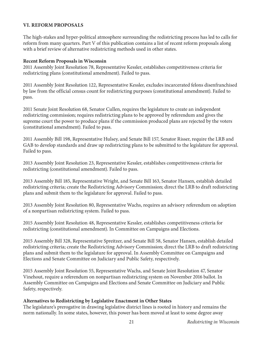#### **VI. REFORM PROPOSALS**

The high-stakes and hyper-political atmosphere surrounding the redistricting process has led to calls for reform from many quarters. Part V of this publication contains a list of recent reform proposals along with a brief review of alternative redistricting methods used in other states.

#### **Recent Reform Proposals in Wisconsin**

2011 Assembly Joint Resolution 78, Representative Kessler, establishes competitiveness criteria for redistricting plans (constitutional amendment). Failed to pass.

2011 Assembly Joint Resolution 122, Representative Kessler, excludes incarcerated felons disenfranchised by law from the official census count for redistricting purposes (constitutional amendment). Failed to pass.

2011 Senate Joint Resolution 68, Senator Cullen, requires the legislature to create an independent redistricting commission; requires redistricting plans to be approved by referendum and gives the supreme court the power to produce plans if the commission produced plans are rejected by the voters (constitutional amendment). Failed to pass.

2011 Assembly Bill 198, Representative Hulsey, and Senate Bill 157, Senator Risser, require the LRB and GAB to develop standards and draw up redistricting plans to be submitted to the legislature for approval. Failed to pass.

2013 Assembly Joint Resolution 23, Representative Kessler, establishes competitiveness criteria for redistricting (constitutional amendment). Failed to pass.

2013 Assembly Bill 185, Representative Wright, and Senate Bill 163, Senator Hansen, establish detailed redistricting criteria; create the Redistricting Advisory Commission; direct the LRB to draft redistricting plans and submit them to the legislature for approval. Failed to pass.

2013 Assembly Joint Resolution 80, Representative Wachs, requires an advisory referendum on adoption of a nonpartisan redistricting system. Failed to pass.

2015 Assembly Joint Resolution 48, Representative Kessler, establishes competitiveness criteria for redistricting (constitutional amendment). In Committee on Campaigns and Elections.

2015 Assembly Bill 328, Representative Spreitzer, and Senate Bill 58, Senator Hansen, establish detailed redistricting criteria; create the Redistricting Advisory Commission; direct the LRB to draft redistricting plans and submit them to the legislature for approval. In Assembly Committee on Campaigns and Elections and Senate Committee on Judiciary and Public Safety, respectively.

2015 Assembly Joint Resolution 55, Representative Wachs, and Senate Joint Resolution 47, Senator Vinehout, require a referendum on nonpartisan redistricting system on November 2016 ballot. In Assembly Committee on Campaigns and Elections and Senate Committee on Judiciary and Public Safety, respectively.

#### **Alternatives to Redistricting by Legislative Enactment in Other States**

The legislature's prerogative in drawing legislative district lines is rooted in history and remains the norm nationally. In some states, however, this power has been moved at least to some degree away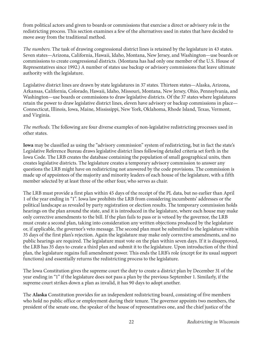from political actors and given to boards or commissions that exercise a direct or advisory role in the redistricting process. This section examines a few of the alternatives used in states that have decided to move away from the traditional method.

*The numbers*. The task of drawing congressional district lines is retained by the legislature in 43 states. Seven states—Arizona, California, Hawaii, Idaho, Montana, New Jersey, and Washington—use boards or commissions to create congressional districts. (Montana has had only one member of the U.S. House of Representatives since 1992.) A number of states use backup or advisory commissions that leave ultimate authority with the legislature.

Legislative district lines are drawn by state legislatures in 37 states. Thirteen states—Alaska, Arizona, Arkansas, California, Colorado, Hawaii, Idaho, Missouri, Montana, New Jersey, Ohio, Pennsylvania, and Washington—use boards or commissions to draw legislative districts. Of the 37 states where legislatures retain the power to draw legislative district lines, eleven have advisory or backup commissions in place— Connecticut, Illinois, Iowa, Maine, Mississippi, New York, Oklahoma, Rhode Island, Texas, Vermont, and Virginia.

*The methods*. The following are four diverse examples of non-legislative redistricting processes used in other states.

**Iowa** may be classified as using the "advisory commission" system of redistricting, but in fact the state's Legislative Reference Bureau draws legislative district lines following detailed criteria set forth in the Iowa Code. The LRB creates the database containing the population of small geographical units, then creates legislative districts. The legislature creates a temporary advisory commission to answer any questions the LRB might have on redistricting not answered by the code provisions. The commission is made up of appointees of the majority and minority leaders of each house of the legislature, with a fifth member selected by at least three of the other four, who serves as chair.

The LRB must provide a first plan within 45 days of the receipt of the PL data, but no earlier than April 1 of the year ending in "1". Iowa law prohibits the LRB from considering incumbents' addresses or the political landscape as revealed by party registration or election results. The temporary commission holds hearings on the plan around the state, and it is introduced in the legislature, where each house may make only corrective amendments to the bill. If the plan fails to pass or is vetoed by the governor, the LRB must create a second plan, taking into consideration any written objections produced by the legislature or, if applicable, the governor's veto message. The second plan must be submitted to the legislature within 35 days of the first plan's rejection. Again the legislature may make only corrective amendments, and no public hearings are required. The legislature must vote on the plan within seven days. If it is disapproved, the LRB has 35 days to create a third plan and submit it to the legislature. Upon introduction of the third plan, the legislature regains full amendment power. This ends the LRB's role (except for its usual support functions) and essentially returns the redistricting process to the legislature.

The Iowa Constitution gives the supreme court the duty to create a district plan by December 31 of the year ending in "1" if the legislature does not pass a plan by the previous September 1. Similarly, if the supreme court strikes down a plan as invalid, it has 90 days to adopt another.

The **Alaska** Constitution provides for an independent redistricting board, consisting of five members who hold no public office or employment during their tenure. The governor appoints two members, the president of the senate one, the speaker of the house of representatives one, and the chief justice of the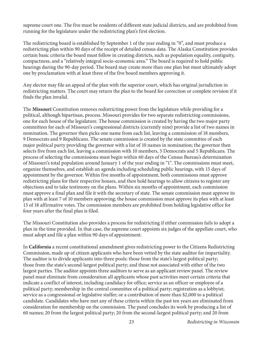supreme court one. The five must be residents of different state judicial districts, and are prohibited from running for the legislature under the redistricting plan's first election.

The redistricting board is established by September 1 of the year ending in "0", and must produce a redistricting plan within 90 days of the receipt of detailed census data. The Alaska Constitution provides certain basic criteria the board must follow in creating districts, such as population equality, contiguity, compactness, and a "relatively integral socio-economic area." The board is required to hold public hearings during the 90-day period. The board may create more than one plan but must ultimately adopt one by proclamation with at least three of the five board members approving it.

Any elector may file an appeal of the plan with the superior court, which has original jurisdiction in redistricting matters. The court may return the plan to the board for correction or complete revision if it finds the plan invalid.

The **Missouri** Constitution removes redistricting power from the legislature while providing for a political, although bipartisan, process. Missouri provides for two separate redistricting commissions, one for each house of the legislature. The house commission is created by having the two major party committees for each of Missouri's congressional districts (currently nine) provide a list of two names in nomination. The governor then picks one name from each list, leaving a commission of 18 members, 9 Democrats and 9 Republicans. The senate commission is created by the state committee of each major political party providing the governor with a list of 10 names in nomination; the governor then selects five from each list, leaving a commission with 10 members, 5 Democrats and 5 Republicans. The process of selecting the commissions must begin within 60 days of the Census Bureau's determination of Missouri's total population around January 1 of the year ending in "1". The commissions must meet, organize themselves, and establish an agenda including scheduling public hearings, with 15 days of appointment by the governor. Within five months of appointment, both commissions must approve redistricting plans for their respective houses, and then hold hearings to allow citizens to register any objections and to take testimony on the plans. Within six months of appointment, each commission must approve a final plan and file it with the secretary of state. The senate commission must approve its plan with at least 7 of 10 members approving; the house commission must approve its plan with at least 13 of 18 affirmative votes. The commission members are prohibited from holding legislative office for four years after the final plan is filed.

The Missouri Constitution also provides a process for redistricting if either commission fails to adopt a plan in the time provided. In that case, the supreme court appoints six judges of the appellate court, who must adopt and file a plan within 90 days of appointment.

In **California** a recent constitutional amendment gives redistricting power to the Citizens Redistricting Commission, made up of citizen applicants who have been vetted by the state auditor for impartiality. The auditor is to divide applicants into three pools: those from the state's largest political party; those from the state's second-largest political party; and those not associated with either of the two largest parties. The auditor appoints three auditors to serve as an applicant review panel. The review panel must eliminate from consideration all applicants whose past activities meet certain criteria that indicate a conflict of interest, including candidacy for office; service as an officer or employee of a political party; membership in the central committee of a political party; registration as a lobbyist; service as a congressional or legislative staffer; or a contribution of more than \$2,000 to a political candidate. Candidates who have met any of these criteria within the past ten years are eliminated from consideration for membership on the commission. The panel concludes its work by producing a list of 60 names; 20 from the largest political party; 20 from the second-largest political party; and 20 from